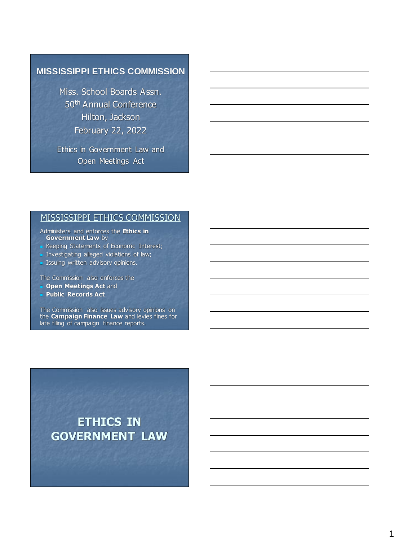#### **MISSISSIPPI ETHICS COMMISSION**

Miss. School Boards Assn. 50th Annual Conference Hilton, Jackson February 22, 2022

Ethics in Government Law and Open Meetings Act

#### MISSISSIPPI ETHICS COMMISSION

Administers and enforces the **Ethics in Government Law** by

- Keeping Statements of Economic Interest;
- **Investigating alleged violations of law;**
- **Issuing written advisory opinions.**

The Commission also enforces the

- <sup>◼</sup> **Open Meetings Act** and
- <sup>◼</sup> **Public Records Act**

The Commission also issues advisory opinions on the **Campaign Finance Law** and levies fines for late filing of campaign finance reports.

**ETHICS IN GOVERNMENT LAW**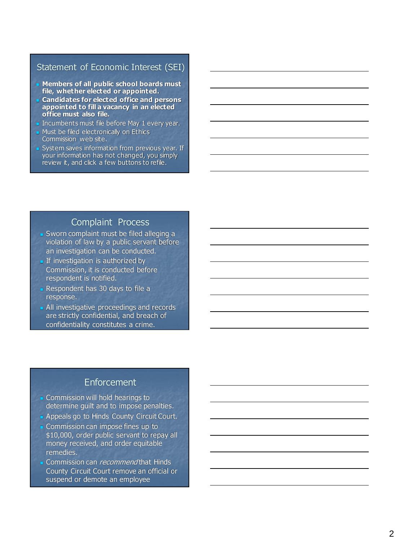## Statement of Economic Interest (SEI)

- Members of all public school boards must **file, whether elected or appointed.**
- <sup>◼</sup> **Candidates for elected office and persons appointed to fill a vacancy in an elected office must also file.**
- Incumbents must file before May 1 every year.
- Must be filed electronically on Ethics Commission web site.
- System saves information from previous year. If your information has not changed, you simply review it, and click a few buttons to refile.

#### Complaint Process

- Sworn complaint must be filed alleging a violation of law by a public servant before an investigation can be conducted.
- **If investigation is authorized by** Commission, it is conducted before respondent is notified.
- Respondent has 30 days to file a response.
- All investigative proceedings and records are strictly confidential, and breach of confidentiality constitutes a crime.

#### **Enforcement**

- Commission will hold hearings to determine guilt and to impose penalties.
- Appeals go to Hinds County Circuit Court.
- Commission can impose fines up to \$10,000, order public servant to repay all money received, and order equitable remedies.
- Commission can *recommend* that Hinds County Circuit Court remove an official or suspend or demote an employee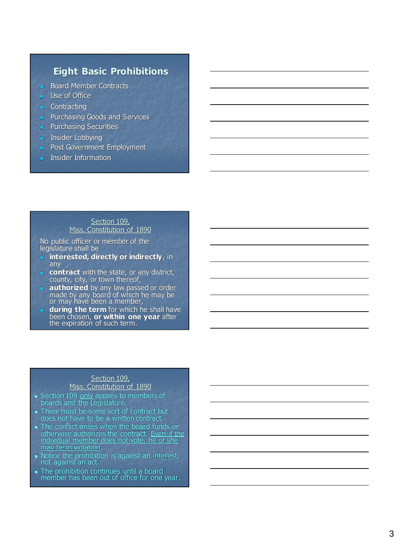## **Eight Basic Prohibitions**

- **Board Member Contracts**
- Use of Office
- **Contracting**
- **■** Purchasing Goods and Services
- **Purchasing Securities**
- Insider Lobbying
- Post Government Employment
- Insider Information

#### Section 109,

## Miss. Constitution of 1890

No public officer or member of the legislature shall be

- $\blacksquare$  interested, directly or indirectly, in any
- contract with the state, or any district, county, city, or town thereof,
- **authorized** by any law passed or order made by any board of which he may be or may have been a member,
- **I** during the term for which he shall have been chosen, **or within one year** after the expiration of such term.

#### Section 109,

#### Miss. Constitution of 1890

- Section 109 only applies to members of boards and the Legislature.
- There must be some sort of contract but does not have to be a written contract.
- The conflict arises when the board funds or
- otherwise authorizes the contract. Even if the individual member does not vote, he or she may be in violation .
- Notice the prohibition is against an interest, not against an act.
- The prohibition continues until a board member has been out of office for one year.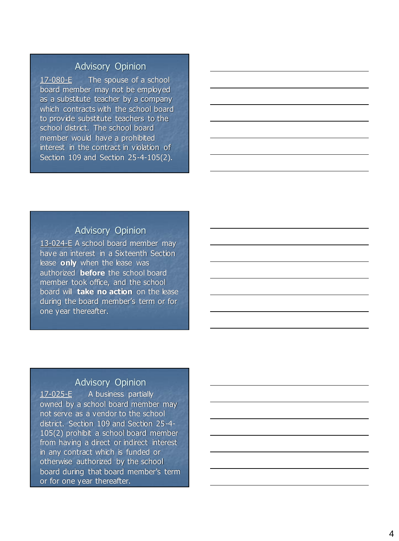17 -080 - The spouse of a school board member may not be employed as a substitute teacher by a company which contracts with the school board to provide substitute teachers to the school district. The school board member would have a prohibited interest in the contract in violation of Section 109 and Section 25-4-105(2).

## Advisory Opinion

13-024-E A school board member may have an interest in a Sixteenth Section lease **only** when the lease was authorized **before** the school board member took office, and the school board will **take no action** on the lease during the board member's term or for one year thereafter.

#### Advisory Opinion

17 -025 - A business partially owned by a school board member may not serve as a vendor to the school district. Section 109 and Section 25 - 4 - 105(2) prohibit a school board member from having a direct or indirect interest in any contract which is funded or otherwise authorized by the school board during that board member's term or for one year thereafter.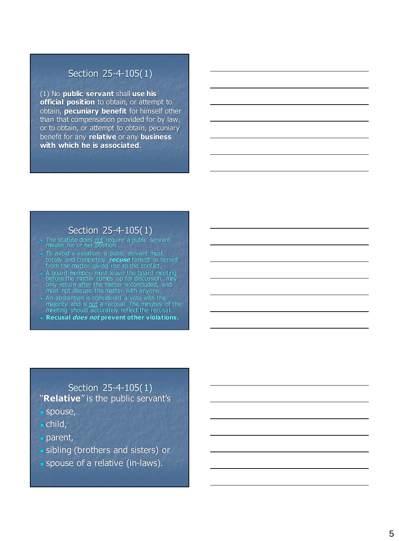#### Section 25-4-105(1)

(1) No **public servant** shall **use his official position** to obtain, or attempt to obtain, **pecuniary benefit** for himself other than that compensation provided for by law, or to obtain, or attempt to obtain, pecuniary benefit for any **relative** or any **business with which he is associated** .

#### Section 25-4-105(1)

- The statute does not require a public servant<br>misuse his or her position.
- To avoid a violation, a public servant must totally and completely **recuse** himself or herself from the matter giving rise to the conflict.
- A board member must leave the board meeting before the matter comes up for discussion, may only return after the matter is concluded, and must not discuss the matter with anyone.
- An abstention is considered a vote with the majority and is not a recusal. The minutes of the meeting should accurately reflect the recusal.
- <sup>◼</sup> **Recusal does not prevent other violations.**

#### Section 25-4-105(1) "**Relative**" is the public servant's

- spouse,
- $\blacksquare$  child,
- parent,
- **I** sibling (brothers and sisters) or
- spouse of a relative (in-laws).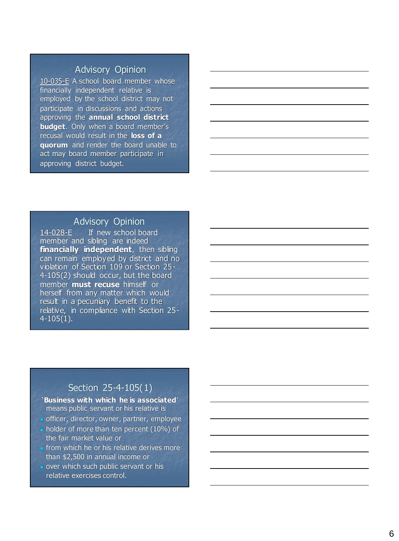10-035-E A school board member whose financially independent relative is employed by the school district may not participate in discussions and actions approving the **annual school district budget**. Only when a board member's recusal would result in the **loss of a quorum** and render the board unable to act may board member participate in approving district budget.

#### Advisory Opinion

14 -028 - If new school board member and sibling are indeed **financially independent**, then sibling can remain employed by district and no violation of Section 109 or Section 25 - 4 -105(2) should occur, but the board member **must recuse** himself or herself from any matter which would result in a pecuniary benefit to the relative, in compliance with Section 25 - 4 -105(1).

#### Section 25-4-105(1)

'**Business with which he is associated**' means public servant or his relative is

- officer, director, owner, partner, employee
- holder of more than ten percent (10%) of the fair market value or
- from which he or his relative derives more than \$2,500 in annual income or
- over which such public servant or his relative exercises control.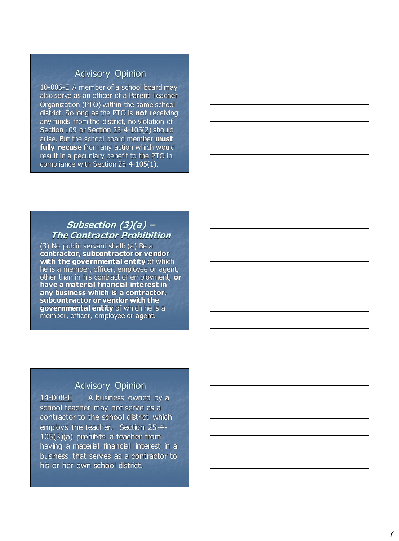10-006-E A member of a school board may also serve as an officer of a Parent Teacher Organization (PTO) within the same school district. So long as the PTO is **not** receiving any funds from the district, no violation of Section 109 or Section 25-4-105(2) should arise. But the school board member **must fully recuse** from any action which would result in a pecuniary benefit to the PTO in compliance with Section 25 - 4 -105(1).

#### **Subsection (3)(a) – The Contractor Prohibition**

(3) No public servant shall: (a) Be a **contractor, subcontractor or vendor with the governmental entity** of which he is a member, officer, employee or agent, other than in his contract of employment, **or have a material financial interest in any business which is a contractor, subcontractor or vendor with the governmental entity** of which he is a member, officer, employee or agent.

#### Advisory Opinion

14 -008 - A business owned by a school teacher may not serve as a contractor to the school district which employs the teacher. Section 25 - 4 - 105(3)(a) prohibits a teacher from having a material financial interest in a business that serves as a contractor to his or her own school district.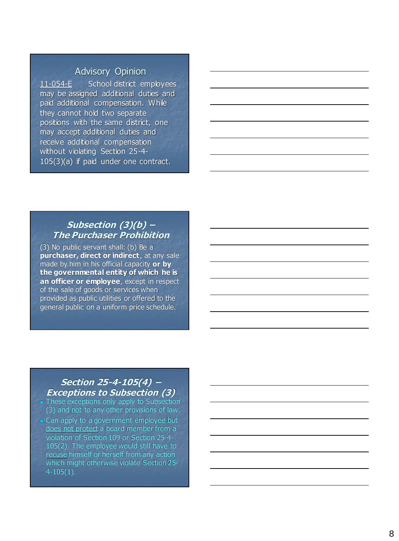11 -054 - School district employees may be assigned additional duties and paid additional compensation. While they cannot hold two separate positions with the same district, one may accept additional duties and receive additional compensation without violating Section 25-4-105(3)(a) if paid under one contract.

#### **Subsection (3)(b) – The Purchaser Prohibition**

(3) No public servant shall: (b) Be a **purchaser, direct or indirect**, at any sale made by him in his official capacity **or by the governmental entity of which he is an officer or employee**, except in respect of the sale of goods or services when provided as public utilities or offered to the general public on a uniform price schedule.

#### **Section 25-4-105(4) – Exceptions to Subsection (3)**

- These exceptions only apply to Subsection (3) and not to any other provisions of law.
- Can apply to a government employee but does not protect a board member from a violation of Section 109 or Section 25 - 4 - 105(2). The employee would still have to recuse himself or herself from any action which might otherwise violate Section 25 - 4 -105(1).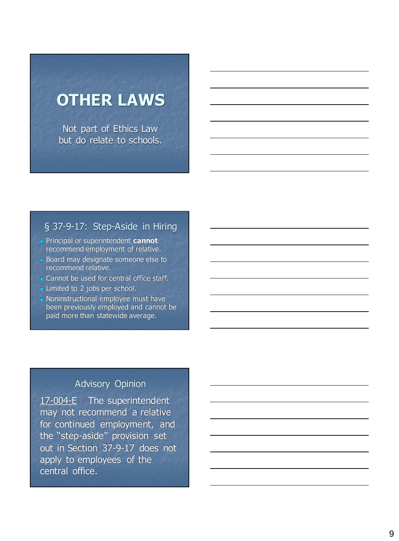# **OTHER LAWS**

Not part of Ethics Law but do relate to schools.

## § 37-9-17: Step-Aside in Hiring

- Principal or superintendent **cannot** recommend employment of relative.
- Board may designate someone else to recommend relative.
- Cannot be used for central office staff.
- Limited to 2 jobs per school.
- Noninstructional employee must have been previously employed and cannot be paid more than statewide average.

## Advisory Opinion

17-004-E The superintendent may not recommend a relative for continued employment, and the "step-aside" provision set out in Section 37-9-17 does not apply to employees of the central office.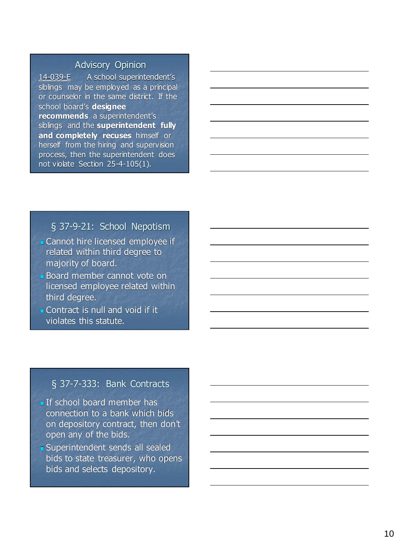14 -039 - A school superintendent's siblings may be employed as a principal or counselor in the same district. If the school board's **designee recommends** a superintendent's siblings and the **superintendent fully and completely recuses** himself or herself from the hiring and supervision process, then the superintendent does not violate Section 25 - 4 -105(1).

#### § 37 - 9 -21: School Nepotism

- Cannot hire licensed employee if related within third degree to majority of board.
- Board member cannot vote on licensed employee related within third degree.
- Contract is null and void if it violates this statute.

## § 37-7-333: Bank Contracts

- **If school board member has** connection to a bank which bids on depository contract, then don't open any of the bids.
- **Buperintendent sends all sealed** bids to state treasurer, who opens bids and selects depository.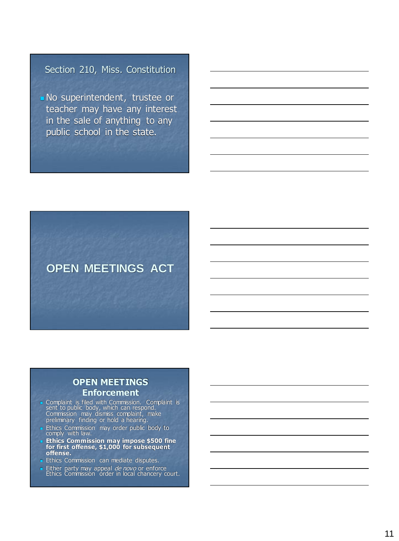## Section 210, Miss. Constitution

<sup>◼</sup> No superintendent, trustee or teacher may have any interest in the sale of anything to any public school in the state.



#### **OPEN MEETINGS Enforcement**

- Complaint is filed with Commission. Complaint is<br>sent to public body, which can respond. Commission may dismiss complaint, make preliminary finding or hold a hearing.
- Ethics Commission may order public body to comply with law.
- Ethics Commission may impose \$500 fine **for first offense, \$1,000 for subsequent offense.**
- Ethics Commission can mediate disputes.
- Either party may appeal *de novo* or enforce<br>Ethics Commission order in local chancery court.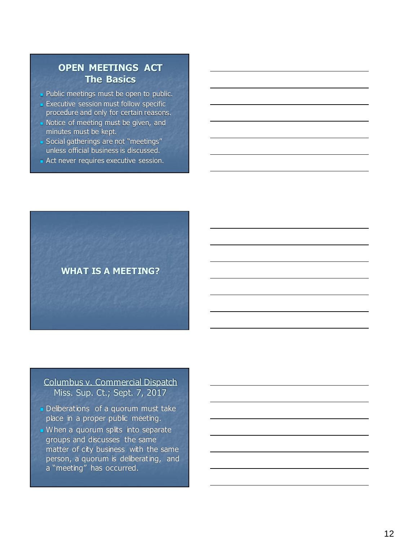## **OPEN MEETINGS ACT The Basics**

■ Public meetings must be open to public.

**Executive session must follow specific** procedure and only for certain reasons.

- Notice of meeting must be given, and minutes must be kept.
- Social gatherings are not "meetings" unless official business is discussed.
- Act never requires executive session.



#### Columbus v. Commercial Dispatch Miss. Sup. Ct.; Sept. 7, 2017

- Deliberations of a quorum must take place in a proper public meeting.
- When a quorum splits into separate groups and discusses the same matter of city business with the same person, a quorum is deliberating, and a "meeting" has occurred.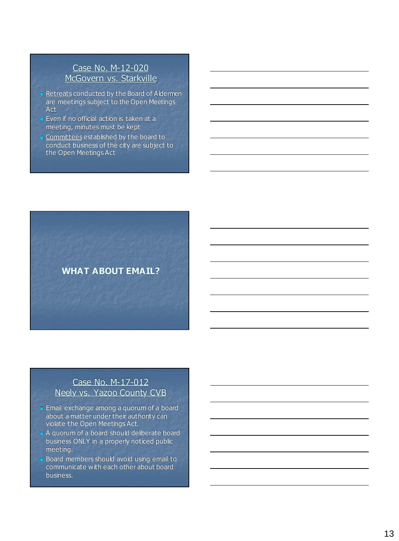#### Case No. M-12-020 McGovern vs. Starkville

- Retreats conducted by the Board of Aldermen are meetings subject to the Open Meetings Act
- **Even if no official action is taken at a** meeting, minutes must be kept
- Committees established by the board to conduct business of the city are subject to the Open Meetings Act



#### Case No. M-17-012 Neely vs. Yazoo County CVB

- Email exchange among a quorum of a board about a matter under their authority can violate the Open Meetings Act.
- A quorum of a board should deliberate board business ONLY in a properly noticed public meeting.
- Board members should avoid using email to communicate with each other about board business.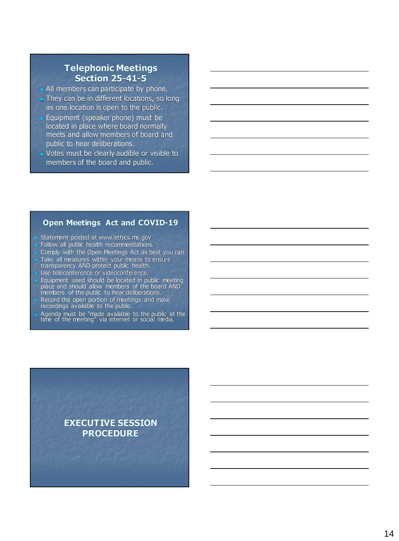#### **Telephonic Meetings Section 25-41-5**

- All members can participate by phone.
- They can be in different locations, so long as one location is open to the public.
- Equipment (speaker phone) must be located in place where board normally meets and allow members of board and public to hear deliberations.
- Votes must be clearly audible or visible to members of the board and public.

#### **Open Meetings Act and COVID-19**

- Statement posted at www.ethics.ms.gov
- Follow all public health recommendations.
- Comply with the Open Meetings Act as best you can.
- Take all measures within your means to ensure transparency AND protect public health.
- Use teleconference or videoconference.
- **Equipment used should be located in public meeting** place and should allow members of the board AND members of the public to hear deliberations.
- Record the open portion of meetings and make recordings available to the public.
- Agenda must be "made available to the public at the time of the meeting" via internet or social media.

**EXECUTIVE SESSION PROCEDURE**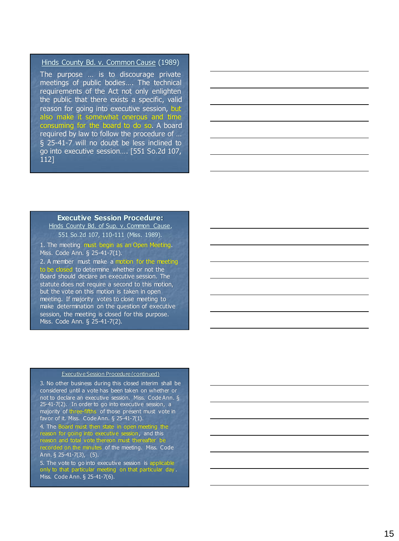#### Hinds County Bd. v. Common Cause (1989)

The purpose … is to discourage private meetings of public bodies … . The technical requirements of the Act not only enlighten the public that there exists a specific, valid reason for going into executive session, but also make it somewhat onerous and time consuming for the board to do so. A board required by law to follow the procedure of … § 25 -41 - 7 will no doubt be less inclined to go into executive session … . [551 So . 2 d 107 , 112 ]

#### **Executive Session Procedure:**

Hinds County Bd. of Sup. v. Common Cause, 551 So.2d 107, 110 -111 (Miss. 1989).

1. The meeting must begin as an Open Meeting. Miss. Code Ann. § 25-41-7(1). 2. A member must make a motion for the meeting

to be closed to determine whether or not the Board should declare an executive session. The statute does not require a second to this motion, but the vote on this motion is taken in open meeting. If majority votes to close meeting to make determination on the question of executive session, the meeting is closed for this purpose. Miss. Code Ann. § 25-41-7(2).

#### Executive Session Procedure (continued)

3. No other business during this closed interim shall be considered until a vote has been taken on whether or not to declare an executive session. Miss. Code Ann. § 25 -41 -7(2). In order to go into executive session, a majority of three-fifths of those present must vote in favor of it. Miss. Code Ann. § 25-41-7(1).

4. The Board must then state in open meeting the reason for going into executive session, and this reason and total vote thereon must thereafter be recorded on the minutes of the meeting. Miss. Code Ann. § 25-41-7(3), (5).

5. The vote to go into executive session is applicable only to that particular meeting on that particular day . Miss. Code Ann. § 25-41-7(6).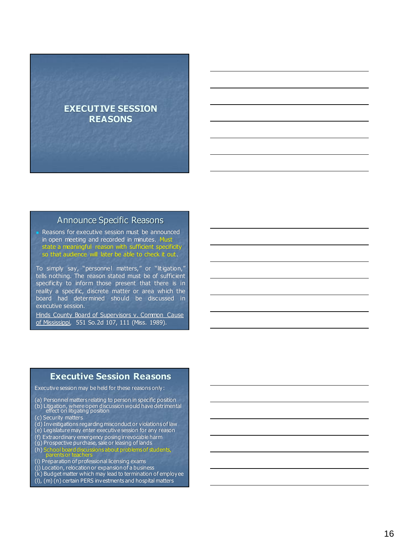## **EXECUTIVE SESSION REASONS**

#### Announce Specific Reasons

Reasons for executive session must be announced in open meeting and recorded in minutes. Must state a meaningful reason with sufficient specificity so that audience will later be able to check it out.

To simply say, "personnel matters," or "litigation," tells nothing. The reason stated must be of sufficient specificity to inform those present that there is in reality a specific, discrete matter or area which the board had determined should be discussed in executive session.

Hinds County Board of Supervisors v. Common Cause of Mississippi, 551 So.2d 107, 111 (Miss. 1989).

#### **Executive Session Reasons**

Executive session may be held for these reasons only:

- (a) Personnel matters relating to person in specific position (b) Litigation, where open discussion would have detrimental effect on litigating position
- (c) Security matters
- (d) Investigations regarding misconduct or violations of law
- (e) Legislature may enter executive session for any reason
- (f) Extraordinary emergency posing irrevocable harm
- (g) Prospective purchase, sale or leasing of lands
- (h) School board discussions about problems of students, parents or teachers
- (i) Preparation of professional licensing exams
- (j) Location, relocation or expansion of a business
- $(k)$  Budget matter which may lead to termination of employee
- (l), (m) (n) certain PERS investments and hospital matters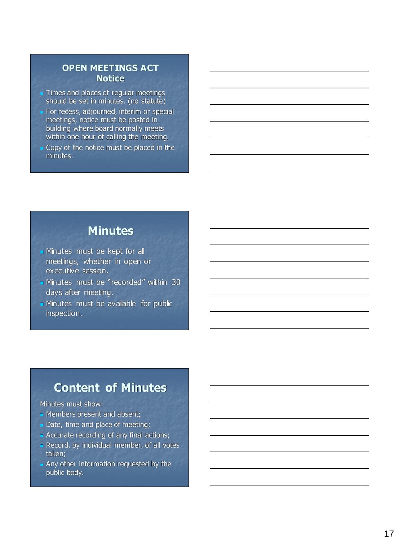#### **OPEN MEETINGS ACT Notice**

- **Times and places of regular meetings** should be set in minutes. (no statute)
- For recess, adjourned, interim or special meetings, notice must be posted in building where board normally meets within one hour of calling the meeting.
- Copy of the notice must be placed in the minutes.

# **Minutes**

- **In Minutes must be kept for all** meetings, whether in open or executive session.
- Minutes must be "recorded" within 30 days after meeting.
- Minutes must be available for public inspection.

# **Content of Minutes**

#### Minutes must show:

- Members present and absent;
- Date, time and place of meeting;
- Accurate recording of any final actions;
- Record, by individual member, of all votes taken;
- Any other information requested by the public body.